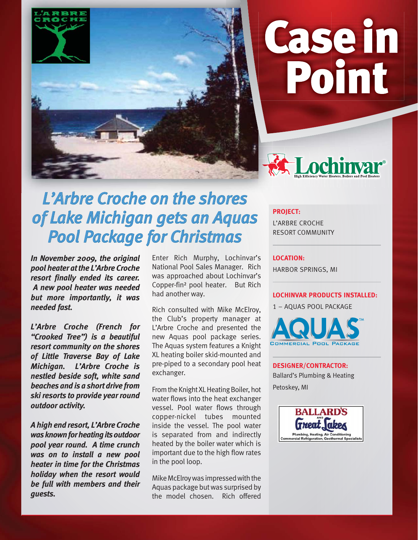

# Casein Point



# *L'Arbre Croche on the shores* **of Lake Michigan gets an Aquas Pool Package for Christmas**

*In November 2009, the original pool heater at the L'Arbre Croche resort finally ended its career. A new pool heater was needed but more importantly, it was needed fast.*

*L'Arbre Croche (French for "Crooked Tree") is a beautiful resort community on the shores of Little Traverse Bay of Lake Michigan. L'Arbre Croche is nestled beside soft, white sand beaches and is a short drive from ski resorts to provide year round outdoor activity.* 

*A high end resort, L'Arbre Croche was known for heating its outdoor pool year round. A time crunch was on to install a new pool heater in time for the Christmas holiday when the resort would be full with members and their guests.* 

Enter Rich Murphy, Lochinvar's National Pool Sales Manager. Rich was approached about Lochinvar's Copper-fin² pool heater. But Rich had another way.

Rich consulted with Mike McElroy, the Club's property manager at L'Arbre Croche and presented the new Aquas pool package series. The Aquas system features a Knight XL heating boiler skid-mounted and pre-piped to a secondary pool heat exchanger.

From the Knight XL Heating Boiler, hot water flows into the heat exchanger vessel. Pool water flows through copper-nickel tubes mounted inside the vessel. The pool water is separated from and indirectly heated by the boiler water which is important due to the high flow rates in the pool loop.

Mike McElroy was impressed with the Aquas package but was surprised by the model chosen. Rich offered

#### **PROJECT:**

L'ARBRE CROCHE RESORT COMMUNITY

#### **LOCATION:**

HARBOR SPRINGS, MI

#### **LOCHINVAR PRODUCTS INSTALLED:**

1 – AQUAS POOL PACKAGE



## **DESIGNER/CONTRACTOR:** Ballard's Plumbing & Heating Petoskey, MI